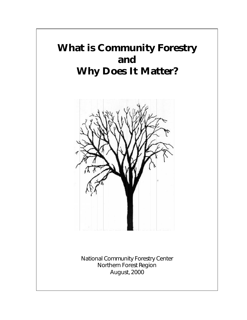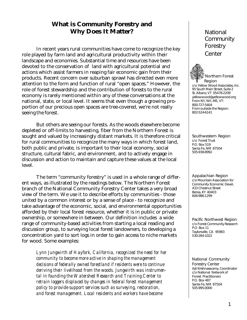# **What is Community Forestry and Why Does It Matter?**

In recent years rural communities have come to recognize the key role played by farm land and agricultural productivity within their landscape and economies. Substantial time and resources have been devoted to the conservation of land with agricultural potential and actions which assist farmers in reaping fair economic gain from their products. Recent concern over suburban sprawl has directed even more attention to the form and function of rural "open spaces." However, the role of forest stewardship and the contribution of forests to the rural economy is rarely mentioned within any of these conversations at the national, state, or local level. It seems that even though a growing proportion of our precious open spaces are tree-covered, we're not really seeing the forest.

But others are seeing our forests. As the woods elsewhere become depleted or off-limits to harvesting, fiber from the Northern Forest is sought and valued by increasingly distant markets. It is therefore critical for rural communities to recognize the many ways in which forest land, both public and private, is important to their local economy, social structure, cultural fabric, and environment, and to actively engage in discussion and action to maintain and capture these values at the local level.

The term "community forestry" is used in a whole range of different ways, as illustrated by the readings below. The Northern Forest branch of the National Community Forestry Center takes a very broad view of the term. We use it to describe efforts by communities - those united by a common interest or by a sense of place - to recognize and take advantage of the economic, social, and environmental opportunities afforded by their local forest resource, whether it is in public or private ownership, or somewhere in between. Our definition includes a wide range of community-based activities from starting a local reading and discussion group, to surveying local forest landowners, to developing a concentration yard to sort logs in order to gain access to niche markets for wood. Some examples:

*Lynn Jungwirth of Hayfork, California, recognized the need for her community to become more active in shaping the management decisions of federally owned forestland if residents were to continue deriving their livelihood from the woods. Jungwirth was instrumental in founding the Watershed Research and Training Center to retrain loggers displaced by changes in federal forest management policy to provide support services such as surveying, restoration, and forest management. Local residents and workers have become*

National **Community** Forestry **Center** 



Region c/o Yellow Wood Associates, Inc. 95 South Main Street, Suite 2 St. Albans, VT 05478-2209 yellowwood@yellowwood.org From NY, NH, ME, VT: 800-727-5404 From outside the Region: 802-524-6141

Southwestern Region c/o Forest Trust P.O. Box 519 Santa Fe, NM 87504 505-938-8992

Appalachian Region c/o Mountain Association for Community Economic Devel.. 433 Chestnut Street Berea, KY 40403 606-986-1299

Pacific Northwest Region c/o Forest Community Research P.O. Box 11 Taylorsville, CA 95983 530-284-1022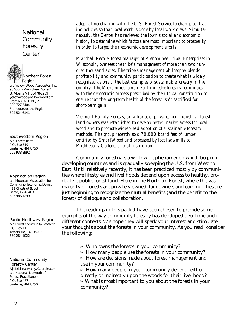

c/o Yellow Wood Associates, Inc. 95 South Main Street, Suite 2 St. Albans, VT 05478-2209 yellowwood@yellowwood.org From NY, NH, ME, VT: 800-727-5404 From outside the Region: 802-524-6141

Southwestern Region c/o Forest Trust P.O. Box 519 Santa Fe, NM 87504 505-938-8992

Appalachian Region c/o Mountain Association for Community Economic Devel.. 433 Chestnut Street Berea, KY 40403 606-986-1299

Pacific Northwest Region c/o Forest Community Research P.O. Box 11 Taylorsville, CA 95983 530-284-1022

National Community Forestry Center Ajit Krishnaswamy, Coordinator c/o National Network of Forest Practitioners P.O. Box 487 Sante Fe, NM 87504

*adept at negotiating with the U.S. Forest Service to change contracting policies so that local work is done by local work crews. Simultaneously, the Center has reviewed the town's social and economic history to determine which factors are most important to prosperity in order to target their economic development efforts.*

*Marshall Pecore, forest manager of Menominee Tribal Enterprises in Wisconsin, oversees the tribe's management of more than two hundred thousand acres. The tribe's management philosophy blends profitability and community participation to create what is widely recognized as one of the best examples of sustainable forestry in the country. The Menominee combine cutting-edge forestry techniques with the democratic process prescribed by their tribal constitution to ensure that the long-term health of the forest isn't sacrificed for short-term gain.*

*Vermont Family Forests, an alliance of private, non-industrial forest land owners was established to develop better market access for local wood and to promote widespread adoption of sustainable forestry methods. The group recently sold 70,000 board feet of lumber certified by SmartWood and processed by local sawmills to Middlebury College, a local institution.*

Community forestry is a worldwide phenomenon which began in developing countries and is gradually sweeping the U.S. from West to East. Until relatively recently, it has been practiced mostly by communities where lifestyles and livelihoods depend upon access to healthy, productive public forest land. Here in the Northern Forest, where the vast majority of forests are privately owned, landowners and communities are just beginning to recognize the mutual benefits (and the benefit to the forest) of dialogue and collaboration.

The readings in this packet have been chosen to provide some examples of the way community forestry has developed over time and in different contexts. We hope they will spark your interest and stimulate your thoughts about the forests in your community. As you read, consider the following:

- $\approx$  Who owns the forests in your community?
- $\ast$  How many people use the forests in your community?
- $\#$  How are decisions made about forest management and use in your community?

 $\ast$  How many people in your community depend, either directly or indirectly upon the woods for their livelihood?  $\mathbb{R}$  What is most important to you about the forests in your community?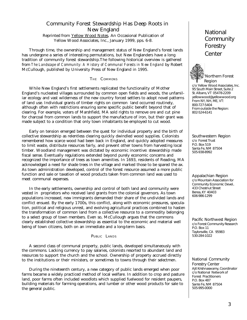## Community Forest Stewardship Has Deep Roots in New England

Reprinted from Yellow Wood Notes, An Occasional Publication of Yellow Wood Associates, Inc., January 1999, pps. 6-8*.*

Through time, the ownership and management status of New England's forest lands has undergone a series of interesting permutations, but New Englanders have a long tradition of community forest stewardship.The following historical overview is gathered from *The Landscape of Community: A History of Communal Forests in New England* by Robert McCullough, published by University Press of New England in 1995.

THE COMMONS

While New England's first settlements replicated the functionality of Mother England's nucleated villages surrounded by common open fields and woods, the unfamiliar ecology and vast wilderness of the new country forced settlers to adopt novel patterns of land use. Individual grants of timber rights on common land occurred routinely, although often with restrictions ensuring some specific public benefit beyond that of clearing. For example, voters of Marshfield, MA sold rights to remove ore and cut pine for charcoal from common lands to support the manufacture of iron, but their grant was made subject to a condition that only town inhabitants be employed to cut wood.

Early on tension emerged between the quest for individual property and the birth of collective stewardship as relentless clearing quickly dwindled wood supplies. Colonists remembered how scarce wood had been back in England, and quickly adopted measures to limit waste, distribute resources fairly, and prevent other towns from harvesting local timber. Woodland management was dictated by economic incentive: stewardship made fiscal sense. Eventually regulations extended beyond purely economic concerns and recognized the importance of trees as town amenities. In 1693, residents of Reading, MA acknowledged a need for shade trees in the village and marked those to be spared the ax. As town administration developed, control of the forest resource assumed a more public function and sale or taxation of wood products taken from common land was used to meet communal expenses.

In the early settlements, ownership and control of both land and community were vested in proprietors who received land grants from the colonial governors. As town populations increased, new immigrants demanded their share of the undivided lands and conflict ensued. By the early 1700s, this conflict, along with economic pressures, speculation, political and religious unrest, and evolving agricultural practices combined to hasten the transformation of common land from a collective resource to a commodity belonging to a select group of town members. Even so, McCullough argues that the commons clearly established collective stewardship as essential to the economic and material well being of town citizens, both on an immediate and a long-term basis.

PUBLIC LANDS

A second class of communal property, public lands, developed simultaneously with the commons. Lacking currency to pay salaries, colonists resorted to abundant land and resources to support the church and the school. Ownership of property accrued directly to the institutions or their ministers, or sometimes to towns through their selectmen.

During the nineteenth century, a new category of public lands emerged when poor farms became a widely practiced method of local welfare. In addition to crop and pasture land, poor farms often included woodlots which supplied fuelwood for resident paupers, building materials for farming operations, and lumber or other wood products for sale to the general public.

National **Community** Forestry **Center** 



c/o Yellow Wood Associates, Inc. 95 South Main Street, Suite 2 St. Albans, VT 05478-2209 yellowwood@yellowwood.org From NY, NH, ME, VT: 800-727-5404 From outside the Region: 802-524-6141

Southwestern Region c/o Forest Trust P.O. Box 519 Santa Fe, NM 87504 505-938-8992

Appalachian Region c/o Mountain Association for Community Economic Devel.. 433 Chestnut Street Berea, KY 40403 606-986-1299

Pacific Northwest Region c/o Forest Community Research P.O. Box 11 Taylorsville, CA 95983 530-284-1022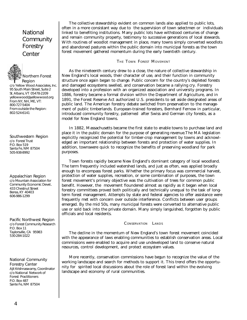

c/o Yellow Wood Associates, Inc. 95 South Main Street, Suite 2 St. Albans, VT 05478-2209 yellowwood@yellowwood.org From NY, NH, ME, VT: 800-727-5404 From outside the Region: 802-524-6141

Southwestern Region c/o Forest Trust P.O. Box 519 Santa Fe, NM 87504 505-938-8992

Appalachian Region c/o Mountain Association for Community Economic Devel.. 433 Chestnut Street Berea, KY 40403 606-986-1299

Pacific Northwest Region c/o Forest Community Research P.O. Box 11 Taylorsville, CA 95983 530-284-1022

#### National Community Forestry Center Ajit Krishnaswamy, Coordinator c/o National Network of Forest Practitioners P.O. Box 487 Sante Fe, NM 87504

The collective stewardship evident on common lands also applied to public lots, often in a more consistant way due to the supervision of town selectmen or individuals linked to benefiting institutions. Many public lots have withstood centuries of change and remain community property, testimony to successive generations of local stewards. With routines of woodlot management in place, many towns simply converted woodlots and abandoned pastures within the public domain into municipal forests as the town forest movement gathered momentum during the early twentieth century.

THE TOWN FOREST MOVEMENT

As the nineteenth century drew to a close, the nature of collective stewardship in New England's local woods, their character of use, and their function in community structure once again began to change. Public concern for the country's depleted forests and damaged ecosystems swelled, and conservation became a rallying cry. Forestry developed into a profession with an organized association and university programs. In 1886, forestry became a formal division within the Department of Agriculture, and in 1891, the Forest Reserve Act authorized U.S. presidents to set aside designated areas of public land. The American forestry debate switched from preservation to the management of public timberlands. European-trained foresters, Bernhard Fernow in particular, introduced community forestry, patterned after Swiss and German city forests, as a model for New England towns.

In 1882, Massachusetts became the first state to enable towns to purchase land and place it in the public domain for the purpose of generating revenue.The MA legislation explicitly recognized the potential for timber-crop management by towns and acknowledged an important relationship between forests and protection of water supplies. In addition, townswere quick to recognize the benefits of preserving woodland for park purposes.

Town forests rapidly became New England's dominant category of local woodland. The term frequently included watershed lands, and just as often, was applied broadly enough to encompass forest parks. Whether the primary focus was commercial harvest, protection of water supplies, recreation, or some combination of purposes, the town forest movement's primary objective was the cultivation of trees for common public benefit. However, the movement floundered almost as rapidly as it began when local forestry committees proved both politically and technically unequal to the task of longterm forest management. Attempts by state and federal agencies to offer assistance were frequently met with concern over outside interference. Conflicts between user groups emerged. By the mid 50s, many municipal forests were converted to alternative public use or sold back into the private domain. Many simply languished, forgotten by public officials and local residents.

CONSERVATION LANDS

The decline in the momentum of New England's town forest movement coincided with the appearance of laws enabling communities to establish conservation areas. Local commissions were enabled to acquire and use undeveloped land to conserve natural resources, control development, and protect ecosystem values.

More recently, conservation commissions have begun to recognize the value of the working landscape and search for methods to support it. This trend offers the opportunity for spirited local discussions about the role of forest land within the evolving landscape and economy of rural communities.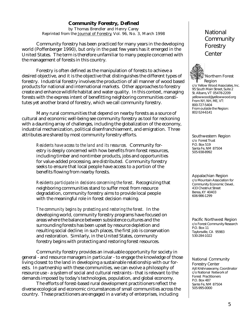### **Community Forestry, Defined**

by Thomas Brendler and Henry Carey Reprinted from the Journal of Forestry, Vol. 96, No. 3, March 1998

Community forestry has been practiced for many years in the developing world (Poffenberger 1990), but only in the past few years has it emerged in the United States. The term is therefore unfamiliar to many people concerned with the management of forests in this country.

Forestry is often defined as the manipulation of forests to achieve a desired objective, and it is the objective that distinguishes the different types of forestry. Industrial forestry involves the production of all manner of wood based products for national and international markets. Other approaches to forestry create and enhance wildlife habitat and water quality. In this context, managing forests with the express intent of benefitting neighboring communities constitutes yet another brand of forestry, which we call community forestry.

Many rural communities that depend on nearby forests as a source of cultural and economic well-being see community forestry as tool for reckoning with a daunting array of challenges, including the globalization of the economy, industrial mechanization, political disenfranchisement, and emigration. Three attributes are shared by most community forestry efforts.

*Residents have access to the land and its resources.* Community forestry is deeply concerned with how benefits from forest resources, including timber and nontimber products, jobs and opportunities for value-added processing, are distributed. Community forestry seeks to ensure that local people have access to a portion of the benefits flowing from nearby forests.

*Residents participate in decisions concerning the forest*. Recognizing that neighboring communities stand to suffer most from resource degradation, community forestry aims to provide local people with the meaningful role in forest decision making.

*The community begins by protecting and restoring the forest.* In the developing world, community forestry programs have focused on areas where the balance between subsistence cultures and the surrounding forests has been upset by resource depletion and resulting social decline; in such places, the first job is conservation and restoration. Similarly, in the United States, community forestry begins with protecting and restoring forest resources.

Community forestry provides an invaluable opportunity for society in general - and resource managers in particular - to engage the knowledge of those living closest to the land in developing a sustainable relationship with our forests. In partnership with these communities, we can evolve a philosophy of resource use - a system of social and cultural restraints - that is relevant to the demands imposed by today's technologies, population, and global economy.

The efforts of forest-based rural development practitioners reflect the diverse ecological and economic circumstances of small communities across the country. These practitioners are engaged in a variety of enterprises, including

National **Community** Forestry **Center** 



Region c/o Yellow Wood Associates, Inc. 95 South Main Street, Suite 2 St. Albans, VT 05478-2209 yellowwood@yellowwood.org From NY, NH, ME, VT: 800-727-5404 From outside the Region: 802-524-6141

Southwestern Region c/o Forest Trust P.O. Box 519 Santa Fe, NM 87504 505-938-8992

Appalachian Region c/o Mountain Association for Community Economic Devel.. 433 Chestnut Street Berea, KY 40403 606-986-1299

Pacific Northwest Region c/o Forest Community Research P.O. Box 11 Taylorsville, CA 95983 530-284-1022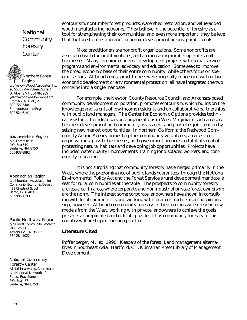

800-727-5404 From outside the Region: 802-524-6141

Southwestern Region c/o Forest Trust P.O. Box 519 Santa Fe, NM 87504 505-938-8992

Appalachian Region c/o Mountain Association for Community Economic Devel.. 433 Chestnut Street Berea, KY 40403 606-986-1299

Pacific Northwest Region c/o Forest Community Research P.O. Box 11 Taylorsville, CA 95983 530-284-1022

National Community Forestry Center Ajit Krishnaswamy, Coordinator c/o National Network of Forest Practitioners P.O. Box 487 Sante Fe, NM 87504

ecotourism, nontimber forest products, watershed restoration, and value-added wood manufacturing networks. They believe in the potential of forestry as a tool for strengthening their communities, and even more important, they believe that the forest protection and economic development are inseparable goals.

Most practitioners are nonprofit organizations. Some nonprofits are associated with for-profit ventures, and an increasing number operate small businesses. Many combine economic development projects with social service programs and environmental advocacy and education. Some seek to improve the broad economic base of their entire community, while others focus on specific sectors. Although most practitioners were originally concerned with either economic development or environmental protection, all have integrated the two concerns into a single mandate.

For example, the Newton County Resource Council, and Arkansas-based community development corporation, promotes ecotourism, which builds on the knowledge and talents of low-income residents and on collaborative partnerships with public land managers. The Center for Economic Options provides technical assistance to individuals and organizations in West Virginia in such areas as business development and community assessment and promotes job creation by seizing new market opportunities. In northern California the Redwood Community Action Agency brings together community volunteers, area service organizations, private businesses, and government agencies to fulfill its goal of protecting natural habitats and developing job opportunities. Projects have included water quality improvements, training for displaced workers, and community education.

It is not surprising that community forestry has emerged primarily in the West, where the predominance of public lands guarantees, through the National Environmental Policy Act and the Forest Service's rural development mandate, a seat for rural communities at the table. The prospects to community forestry are less clear in areas where corporate and nonindustrial private forest ownership are the norm. The interest some corporate landowners have shown in consulting with local communities and working with local contractors is an auspicious sign, however. Although community forestry in these regions will surely borrow models from the West, working with private landowners to achieve the goals presents a complicated and delicate puzzle. Thus community forestry in this country will be shaped through practice.

# **Literature Cited**

Poffenberger, M., ed. 1990. Keepers of the forest: Land management alternatives in Southeast Asia. Hartford, CT: Kumarian Press Library of Management Development.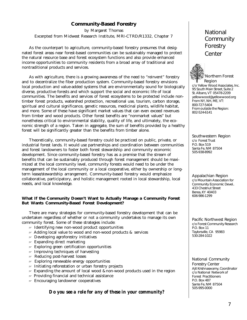# **Community-Based Forestry**

by Margaret Thomas Excerpted from Midwest Research Institute, MRI-CTRD/R1332, Chapter 7

As the counterpart to agriculture, community-based forestry presumes that designated forest areas near forest-based communities can be sustainably managed to protect the natural resource base and forest ecosystem functions and also provide enhanced income opportunities to community residents from a broad array of traditional and nontraditional products and services.

As with agriculture, there is a growing awareness of the need to "reinvent" forestry and to decentralize the fiber production system. Community-based forestry envisions local production and value-added systems that are environmentally sound for biologically diverse, productive forests and which support the social and economic life of local communities. The benefits and services of forest ecosystems to be protected include nontimber forest products, watershed protection, recreational use, tourism, carbon storage, spiritual and cultural significance, genetic resources, medicinal plants, wildlife habitat, and more. Some of these have significant market values that can even exceed revenues from timber and wood products. Other forest benefits are "nonmarket values" but nonetheless critical to environmental stability, quality of life, and ultimately, the economic strength of a region. Taken in aggregate, the sum of benefits provided by a healthy forest will be significantly greater than the benefits from timber alone.

Theoretically, community-based forestry could be practiced on public, private, or industrial forest lands. It would use partnerships and coordination between communities and forest landowners to foster both forest stewardship and community economic development. Since community-based forestry has as a premise that the stream of benefits that can be sustainably produced through forest management should be maximized at the local community level, community forests would need to be under the management of the local community or a local cooperative, either by ownership or longterm lease/stewardship arrangement. Community-based forestry would emphasize collaborative, participatory, and holistic management rooted in local stewardship, local needs, and local knowledge.

#### **What If the Community Doesn't Want to Actually Manage a Community Forest But Wants Community-Based Forest Development?**

There are many strategies for community-based forestry development that can be undertaken regardless of whether or not a community undertakes to manage its own community forest. Some of these strategies include:

- $\mathbb{R}$  Identifying new non-wood product opportunities
- $\mathbb{R}$  Adding local value to wood and non-wood products & services
- $\sqrt{ }$  Developing agroforestry initiatives
- $\mathbb{R}$  Expanding direct marketing
- $\sqrt{a}$  Exploring green certification opportunities
- $\sqrt{a}$  Improving techniques of harvesting
- $\mathbb{R}$  Reducing post-harvest losses
- $\mathbb F$  Exploring renewable energy opportunities
- $\sqrt{a}$  Initiating reforestation or urban forestry projects
- Expanding the amount of local wood &non-wood products used in the region
- $\sqrt{a}$  Providing financial and technical assistance
- $\sqrt{m}$  Encouraging landowner cooperatives

### *Do you see a role for any of these in your community?*

National **Community** Forestry **Center** 



c/o Yellow Wood Associates, Inc. 95 South Main Street, Suite 2 St. Albans, VT 05478-2209 yellowwood@yellowwood.org From NY, NH, ME, VT: 800-727-5404 From outside the Region: 802-524-6141

Southwestern Region c/o Forest Trust P.O. Box 519 Santa Fe, NM 87504 505-938-8992

Appalachian Region c/o Mountain Association for Community Economic Devel.. 433 Chestnut Street Berea, KY 40403 606-986-1299

Pacific Northwest Region c/o Forest Community Research P.O. Box 11 Taylorsville, CA 95983 530-284-1022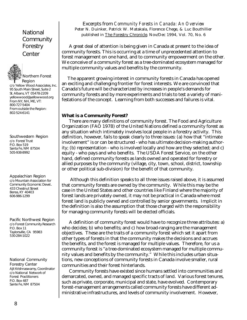

c/o Yellow Wood Associates, Inc. 95 South Main Street, Suite 2 St. Albans, VT 05478-2209 yellowwood@yellowwood.org From NY, NH, ME, VT: 800-727-5404 From outside the Region: 802-524-6141

Southwestern Region c/o Forest Trust P.O. Box 519 Santa Fe, NM 87504 505-938-8992

### Appalachian Region c/o Mountain Association for Community Economic Devel..

433 Chestnut Street Berea, KY 40403 606-986-1299

Pacific Northwest Region c/o Forest Community Research P.O. Box 11 Taylorsville, CA 95983 530-284-1022

National Community Forestry Center Ajit Krishnaswamy, Coordinator c/o National Network of Forest Practitioners P.O. Box 487 Sante Fe, NM 87504

Excerpts from *Community Forests in Canada: An Overview* Peter N. Duinker, Patrick W. Matakala, Florence Chege, & Luc Bouthillier published in The Forestry Chronicle, Nov/Dec 1994, Vol. 70, No. 6

A great deal of attention is being given in Canada at present to the idea of community forests. This is occurring at a time of unprecedented attention to forest management on one hand, and to community empowerment on the other. We conceive of a community forest as a tree-dominated ecosystem managed for multiple community values and benefits by the community.

 The apparent growing interest in community forests in Canada has opened an exciting and challenging frontier for forest interests. We are convinced that Canada's future will be characterized by increases in people's demands for community forests and by more experiments and trials to test a variety of manifestations of the concept. Learning from both successes and failures is vital.

# **What is a Community Forest?**

There are many definitions of community forest. The Food and Agriculture Organization (FAO 1978) of the United Nations defined a community forest as any situation which intimately involves local people in a forestry activity. This definition, however, fails to speak clearly to three issues: (a) how that "intimate involvement" is or can be structured - who has ultimate decision-making authority; (b) representation - who is involved locally and how are they selected; and c) equity - who pays and who benefits. The USDA Forest Service, on the other hand, defined community forests as lands owned and operated for forestry or allied purposes by the community (village, city, town, school, district, township or other political sub-division) for the benefit of that community.

 Although this definition speaks to all three issues raised above, it is assumed that community forests are owned by the community. While this may be the case in the United States and other countries like Finland where the majority of forest lands are privately owned, it may not be practical in Canada where most forest land is publicly owned and controlled by senior governments. Implicit in the definition is also the assumption that those charged with the responsibility for managing community forests will be elected officials.

A definition of community forest would have to recognize three attributes: a) who decides; b) who benefits; and c) how broad-ranging are the management objectives. These are the traits of a community forest which set it apart from other types of forests in that the community makes the decisions and accrues the benefits, and the forest is managed for multiple values. Therefore, for us a community forest is "a tree-dominated ecosystem managed for multiple community values and benefits by the community." While this includes urban situations, new conceptions of community forests in Canada involve smaller, rural communities and their forest hinterlands.

Community forests have existed since humans settled into communities and demarcated, owned, and managed specific tracts of land. Various forest tenures, such as private, corporate, municipal and state, have evolved. Contemporary forest-management arrangements called community forests have different administrative infrastructures, and levels of community involvement. However,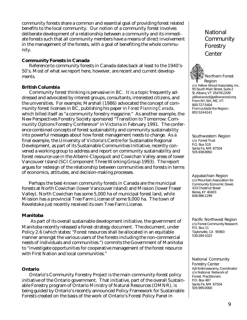community forests share a common and essential goal of providing forest related benefits to the local community. Our notion of a community forest involves deliberate development of a relationship between a community and its immediate forests such that all community members have a means of direct involvement in the management of the forests, with a goal of benefiting the whole community.

#### **Community Forests in Canada**

Reference to community forests in Canada dates back at least to the 1940's-50's. Most of what we report here, however, are recent and current developments.

#### **British Columbia**

Community forest thinking is pervasive in BC. It is a topic frequently addressed and advocated by interest groups, consultants, interested citizens, and the universities. For example, Marshall (1986) advocated the concept of community forest licenses in BC, publishing his paper in *Forest Planning Canada,* which billed itself as "a community forestry magazine." As another example, the New Perspectives Forestry Society sponsored "Transition to Tomorrow: Community Options Forestry Conference" in Victoria in February 1991. The conference combined concepts of forest sustainability and community sustainability into powerful messages about how forest management needs to change. As a final example, the University of Victoria's Centre for Sustainable Regional Development, as part of its Sustainable Communities Initiative, recently convened a working group to address and report on community sustainability and forest resource use in the Alberni-Clayoquot and Cowichan Valley areas of lower Vancouver Island (SCI Component Three Working Group 1993). The report argues for redesign of the relationship between communities and forests in terms of economics, attitudes, and decision-making processes.

 Perhaps the best-known community forests in Canada are the municipal forests at North Cowichan (lower Vancouver Island) and Mission (lower Fraser Valley). North Cowichan has some 5,000 ha of municipal forest land, while Mission has a provincial Tree Farm License of some 9,000 ha. The town of Revelstoke just recently received its own Tree Farm License.

### **Manitoba**

As part of its overall sustainable development initiative, the government of Manitoba recently released a forest-strategy document. The document, under Policy 2.6 (which states: "Forest resources shall be allocated in an equitable manner amongst the various users of the forests including the non-commercial needs of individuals and communities.") commits the Government of Manitoba to "investigate opportunities for cooperative management of the forest resource with First Nation and local communities."

### **Ontario**

Ontario's Community Forestry Project is the main community-forest policy initiative of the Ontario government. That initiative, part of the overall Sustainable Forestry program of Ontario Ministry of Natural Resources (OMNR), is being guided by Ontario's recently announced Policy Framework for Sustainable Forests created on the basis of the work of Ontario's Forest Policy Panel in

National **Community** Forestry **Center** 



Region c/o Yellow Wood Associates, Inc. 95 South Main Street, Suite 2 St. Albans, VT 05478-2209 yellowwood@yellowwood.org From NY, NH, ME, VT: 800-727-5404 From outside the Region: 802-524-6141

Southwestern Region c/o Forest Trust P.O. Box 519 Santa Fe, NM 87504 505-938-8992

Appalachian Region c/o Mountain Association for Community Economic Devel.. 433 Chestnut Street Berea, KY 40403 606-986-1299

Pacific Northwest Region c/o Forest Community Research P.O. Box 11 Taylorsville, CA 95983 530-284-1022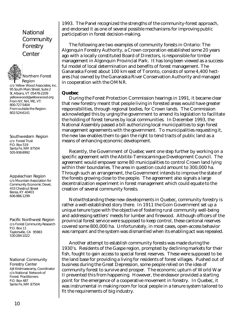

From NY, NH, ME, VT: 800-727-5404 From outside the Region: 802-524-6141

Southwestern Region c/o Forest Trust P.O. Box 519 Santa Fe, NM 87504 505-938-8992

Appalachian Region c/o Mountain Association for Community Economic Devel.. 433 Chestnut Street Berea, KY 40403 606-986-1299

Pacific Northwest Region c/o Forest Community Research P.O. Box 11 Taylorsville, CA 95983 530-284-1022

National Community Forestry Center Ajit Krishnaswamy, Coordinator c/o National Network of Forest Practitioners P.O. Box 487 Sante Fe, NM 87504

1993. The Panel recognized the strengths of the community-forest approach, and endorsed it as one of several possible mechanisms for improving public participation in forest decision-making.

The following are two examples of community forests in Ontario: The Algonquin Forestry Authority, a Crown corporation established some 20 years ago with a locally constituted Board of Directors, is responsible for timber management in Algonquin Provincial Park. It has long been viewed as a successful model of local determination and benefits of forest management. The Ganaraska Forest about 100 km east of Toronto, consists of some 4,400 hectares (ha) owned by the Ganaraska River Conservation Authority and managed in cooperation with the OMNR.

# **Quebec**

During the Forest Protection Commission hearings in 1991, it became clear that new forestry meant that people living in forested areas would have greater responsibilities, through regional bodies, for Crown lands. The Commission acknowledged this by urging the government to amend its legislation to facilitate the holding of forest tenures by local communities. In December 1993, the National Assembly passed a bill authorizing local municipalities to sign forest management agreements with the government. To municipalities requesting it, the new law enables them to gain the right to tend tracts of public land as a means of enhancing economic development.

Recently, the Government of Quebec went one step further by working on a specific agreement with the Abitibi-Temiscamingue Development Council. The agreement would empower some 80 municipalities to control Crown land lying within their boundaries. The area in question could amount to 300,000 ha. Through such an arrangement, the Government intends to improve the state of the forests growing close to the people. The agreement also signals a large decentralization experiment in forest management which could equate to the creation of several community forests.

Notwithstanding these new developments in Quebec, community forestry is rather a well-established story there. In 1911 the Goin Government set up a unique tenure type with the objective of fostering rural community well-being and addressing settlers' meeds for lumber and firewood. Although officers of the provincial forest service were supposed to keep control, these cantonal reserves covered some 800,000 ha. Unfortunately, in most cases, open-access behavior was rampant and the system was dismantled when its enabling act was repealed.

Another attempt to establish community forests was made during the 1930's. Residents of the Gaspe region, prompted by declining markets for their fish, fought to gain access to special forest reserves. These were supposed to be the land base for providing a living for residents of forest villages. Pushed out of business during the Great Depression, some people relied on the idea of community forest to survive and prosper. The economic upturn of World War II prevented this from happening. However, the endeavor provided a starting point for the emergence of a cooperative movement in forestry. In Quebec, it was instrumental in making room for local people in a tenure system tailored to fit the requirements of big industry.